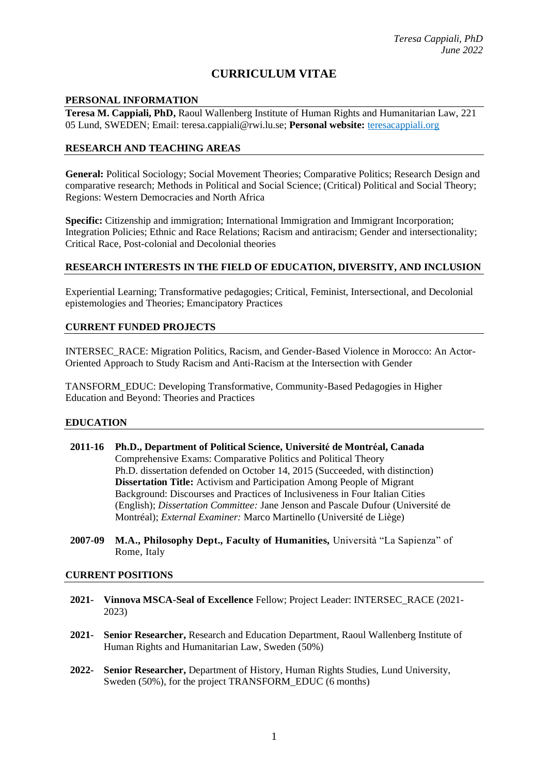# **CURRICULUM VITAE**

#### **PERSONAL INFORMATION**

**Teresa M. Cappiali, PhD,** Raoul Wallenberg Institute of Human Rights and Humanitarian Law, 221 05 Lund, SWEDEN; Email: teresa.cappiali@rwi.lu.se; **Personal website:** teresacappiali.org

### **RESEARCH AND TEACHING AREAS**

**General:** Political Sociology; Social Movement Theories; Comparative Politics; Research Design and comparative research; Methods in Political and Social Science; (Critical) Political and Social Theory; Regions: Western Democracies and North Africa

**Specific:** Citizenship and immigration; International Immigration and Immigrant Incorporation; Integration Policies; Ethnic and Race Relations; Racism and antiracism; Gender and intersectionality; Critical Race, Post-colonial and Decolonial theories

#### **RESEARCH INTERESTS IN THE FIELD OF EDUCATION, DIVERSITY, AND INCLUSION**

Experiential Learning; Transformative pedagogies; Critical, Feminist, Intersectional, and Decolonial epistemologies and Theories; Emancipatory Practices

#### **CURRENT FUNDED PROJECTS**

INTERSEC\_RACE: Migration Politics, Racism, and Gender-Based Violence in Morocco: An Actor-Oriented Approach to Study Racism and Anti-Racism at the Intersection with Gender

TANSFORM\_EDUC: Developing Transformative, Community-Based Pedagogies in Higher Education and Beyond: Theories and Practices

#### **EDUCATION**

- **2011-16 Ph.D., Department of Political Science, Université de Montréal, Canada**  Comprehensive Exams: Comparative Politics and Political Theory Ph.D. dissertation defended on October 14, 2015 (Succeeded, with distinction) **Dissertation Title:** Activism and Participation Among People of Migrant Background: Discourses and Practices of Inclusiveness in Four Italian Cities (English); *Dissertation Committee:* Jane Jenson and Pascale Dufour (Université de Montréal); *External Examiner:* Marco Martinello (Université de Liège)
- **2007-09 M.A., Philosophy Dept., Faculty of Humanities,** Università "La Sapienza" of Rome, Italy

#### **CURRENT POSITIONS**

- **2021- Vinnova MSCA-Seal of Excellence** Fellow; Project Leader: INTERSEC\_RACE (2021- 2023)
- **2021- Senior Researcher,** Research and Education Department, Raoul Wallenberg Institute of Human Rights and Humanitarian Law, Sweden (50%)
- **2022- Senior Researcher,** Department of History, Human Rights Studies, Lund University, Sweden (50%), for the project TRANSFORM\_EDUC (6 months)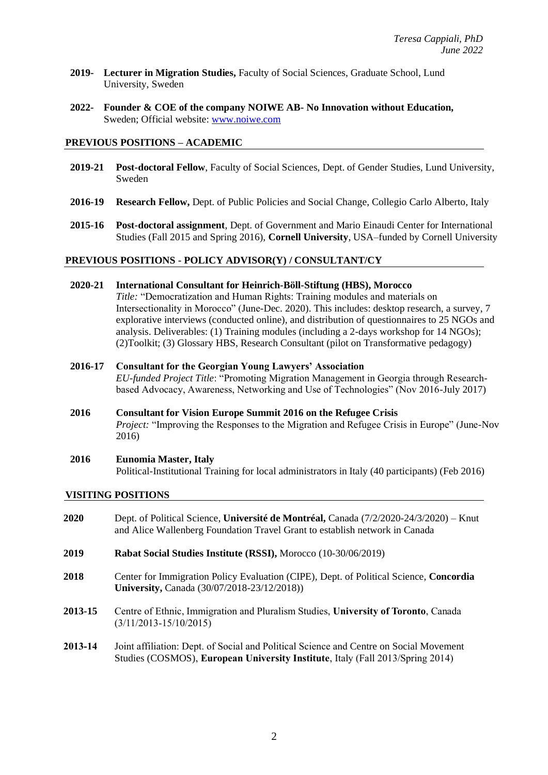- **2019- Lecturer in Migration Studies,** Faculty of Social Sciences, Graduate School, Lund University, Sweden
- **2022- Founder & COE of the company NOIWE AB- No Innovation without Education***,*  Sweden; Official website: [www.noiwe.com](http://www.noiwe.com/)

#### **PREVIOUS POSITIONS – ACADEMIC**

- **2019-21 Post-doctoral Fellow**, Faculty of Social Sciences, Dept. of Gender Studies, Lund University, Sweden
- **2016-19 Research Fellow,** Dept. of Public Policies and Social Change, Collegio Carlo Alberto, Italy
- **2015-16 Post-doctoral assignment**, Dept. of Government and Mario Einaudi Center for International Studies (Fall 2015 and Spring 2016), **Cornell University**, USA–funded by Cornell University

#### **PREVIOUS POSITIONS - POLICY ADVISOR(Y) / CONSULTANT/CY**

**2020-21 International Consultant for Heinrich-Böll-Stiftung (HBS), Morocco**

*Title:* "Democratization and Human Rights: Training modules and materials on Intersectionality in Morocco" (June-Dec. 2020). This includes: desktop research, a survey, 7 explorative interviews (conducted online), and distribution of questionnaires to 25 NGOs and analysis. Deliverables: (1) Training modules (including a 2-days workshop for 14 NGOs); (2)Toolkit; (3) Glossary HBS, Research Consultant (pilot on Transformative pedagogy)

- **2016-17 Consultant for the Georgian Young Lawyers' Association** *EU-funded Project Title*: "Promoting Migration Management in Georgia through Researchbased Advocacy, Awareness, Networking and Use of Technologies" (Nov 2016-July 2017)
- **2016 Consultant for Vision Europe Summit 2016 on the Refugee Crisis** *Project:* "Improving the Responses to the Migration and Refugee Crisis in Europe" (June-Nov 2016)
- **2016 Eunomia Master, Italy** Political-Institutional Training for local administrators in Italy (40 participants) (Feb 2016)

#### **VISITING POSITIONS**

- **2020** Dept. of Political Science, **Université de Montréal,** Canada (7/2/2020-24/3/2020) Knut and Alice Wallenberg Foundation Travel Grant to establish network in Canada
- **2019 Rabat Social Studies Institute (RSSI),** Morocco (10-30/06/2019)
- **2018** Center for Immigration Policy Evaluation (CIPE), Dept. of Political Science, **Concordia University,** Canada (30/07/2018-23/12/2018))
- **2013-15** Centre of Ethnic, Immigration and Pluralism Studies, **University of Toronto**, Canada (3/11/2013-15/10/2015)
- **2013-14** Joint affiliation: Dept. of Social and Political Science and Centre on Social Movement Studies (COSMOS), **European University Institute**, Italy (Fall 2013/Spring 2014)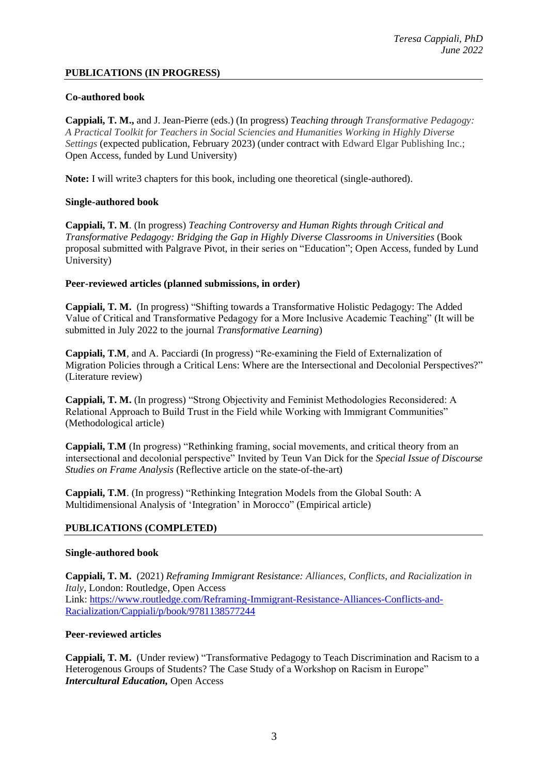## **PUBLICATIONS (IN PROGRESS)**

## **Co-authored book**

**Cappiali, T. M.,** and J. Jean-Pierre (eds.) (In progress) *Teaching through Transformative Pedagogy: A Practical Toolkit for Teachers in Social Sciencies and Humanities Working in Highly Diverse Settings* (expected publication, February 2023) (under contract with Edward Elgar Publishing Inc.; Open Access, funded by Lund University)

**Note:** I will write3 chapters for this book, including one theoretical (single-authored).

## **Single-authored book**

**Cappiali, T. M**. (In progress) *Teaching Controversy and Human Rights through Critical and Transformative Pedagogy: Bridging the Gap in Highly Diverse Classrooms in Universities* (Book proposal submitted with Palgrave Pivot, in their series on "Education"; Open Access, funded by Lund University)

### **Peer-reviewed articles (planned submissions, in order)**

**Cappiali, T. M.** (In progress) "Shifting towards a Transformative Holistic Pedagogy: The Added Value of Critical and Transformative Pedagogy for a More Inclusive Academic Teaching" (It will be submitted in July 2022 to the journal *Transformative Learning*)

**Cappiali, T.M**, and A. Pacciardi (In progress) "Re-examining the Field of Externalization of Migration Policies through a Critical Lens: Where are the Intersectional and Decolonial Perspectives?" (Literature review)

**Cappiali, T. M.** (In progress) "Strong Objectivity and Feminist Methodologies Reconsidered: A Relational Approach to Build Trust in the Field while Working with Immigrant Communities" (Methodological article)

**Cappiali, T.M** (In progress) "Rethinking framing, social movements, and critical theory from an intersectional and decolonial perspective" Invited by Teun Van Dick for the *Special Issue of Discourse Studies on Frame Analysis* (Reflective article on the state-of-the-art)

**Cappiali, T.M**. (In progress) "Rethinking Integration Models from the Global South: A Multidimensional Analysis of 'Integration' in Morocco" (Empirical article)

## **PUBLICATIONS (COMPLETED)**

### **Single-authored book**

**Cappiali, T. M.** (2021) *Reframing Immigrant Resistance: Alliances, Conflicts, and Racialization in Italy*, London: Routledge, Open Access Link: [https://www.routledge.com/Reframing-Immigrant-Resistance-Alliances-Conflicts-and-](https://www.routledge.com/Reframing-Immigrant-Resistance-Alliances-Conflicts-and-Racialization/Cappiali/p/book/9781138577244)[Racialization/Cappiali/p/book/9781138577244](https://www.routledge.com/Reframing-Immigrant-Resistance-Alliances-Conflicts-and-Racialization/Cappiali/p/book/9781138577244)

## **Peer-reviewed articles**

**Cappiali, T. M.** (Under review) "Transformative Pedagogy to Teach Discrimination and Racism to a Heterogenous Groups of Students? The Case Study of a Workshop on Racism in Europe" *Intercultural Education,* Open Access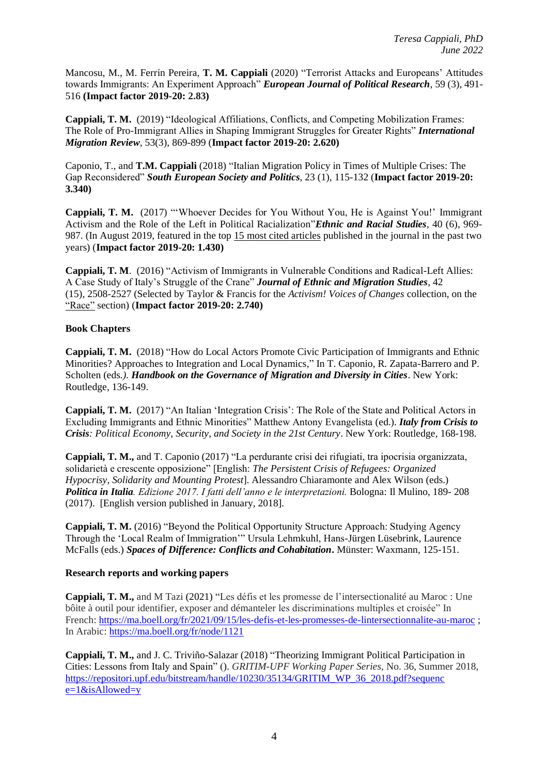Mancosu, M., M. Ferrín Pereira, **T. M. Cappiali** (2020) "Terrorist Attacks and Europeans' Attitudes towards Immigrants: An Experiment Approach" *European Journal of Political Research,* 59 (3), 491- 516 **(Impact factor 2019-20: 2.83)**

**Cappiali, T. M.** (2019) "Ideological Affiliations, Conflicts, and Competing Mobilization Frames: The Role of Pro-Immigrant Allies in Shaping Immigrant Struggles for Greater Rights" *International Migration Review*, 53(3), 869-899 (**Impact factor 2019-20: 2.620)**

Caponio, T., and **T.M. Cappiali** (2018) "Italian Migration Policy in Times of Multiple Crises: The Gap Reconsidered" *South European Society and Politics*, 23 (1), 115-132 (**Impact factor 2019-20: 3.340)** 

**Cappiali, T. M.** (2017) "'Whoever Decides for You Without You, He is Against You!' Immigrant Activism and the Role of the Left in Political Racialization"*Ethnic and Racial Studies*, 40 (6), 969- 987. (In August 2019, featured in the top 15 most cited articles published in the journal in the past two years) (**Impact factor 2019-20: 1.430)**

**Cappiali, T. M**. (2016) "Activism of Immigrants in Vulnerable Conditions and Radical-Left Allies: A Case Study of Italy's Struggle of the Crane" *Journal of Ethnic and Migration Studies,* 42 (15)*,* 2508-2527 (Selected by Taylor & Francis for the *Activism! Voices of Changes* collection, on the "Race" section) (**Impact factor 2019-20: 2.740)**

## **Book Chapters**

**Cappiali, T. M.** (2018) "How do Local Actors Promote Civic Participation of Immigrants and Ethnic Minorities? Approaches to Integration and Local Dynamics," In T. Caponio, R. Zapata-Barrero and P. Scholten (eds*.). Handbook on the Governance of Migration and Diversity in Cities*. New York: Routledge, 136-149.

**Cappiali, T. M.** (2017) "An Italian 'Integration Crisis': The Role of the State and Political Actors in Excluding Immigrants and Ethnic Minorities" Matthew Antony Evangelista (ed.). *Italy from Crisis to Crisis: Political Economy, Security, and Society in the 21st Century*. New York: Routledge, 168-198.

**Cappiali, T. M.,** and T. Caponio (2017) "La perdurante crisi dei rifugiati, tra ipocrisia organizzata, solidarietà e crescente opposizione" [English: *The Persistent Crisis of Refugees: Organized Hypocrisy, Solidarity and Mounting Protest*]. Alessandro Chiaramonte and Alex Wilson (eds.) *Politica in Italia. Edizione 2017. I fatti dell'anno e le interpretazioni.* Bologna: Il Mulino, 189- 208 (2017). [English version published in January, 2018].

**Cappiali, T. M.** (2016) "Beyond the Political Opportunity Structure Approach: Studying Agency Through the 'Local Realm of Immigration'" Ursula Lehmkuhl, Hans-Jürgen Lüsebrink, Laurence McFalls (eds.) *Spaces of Difference: Conflicts and Cohabitation***.** Münster: Waxmann, 125-151.

## **Research reports and working papers**

**Cappiali, T. M.,** and M Tazi (2021) "Les défis et les promesse de l'intersectionalité au Maroc : Une bôite à outil pour identifier, exposer and démanteler les discriminations multiples et croisée" In French:<https://ma.boell.org/fr/2021/09/15/les-defis-et-les-promesses-de-lintersectionnalite-au-maroc> ; In Arabic: <https://ma.boell.org/fr/node/1121>

**Cappiali, T. M.,** and J. C. Triviño-Salazar (2018) "Theorizing Immigrant Political Participation in Cities: Lessons from Italy and Spain" (). *GRITIM-UPF Working Paper Series,* No. 36, Summer 2018, https://repositori.upf.edu/bitstream/handle/10230/35134/GRITIM\_WP\_36\_2018.pdf?sequenc  $e=1$ &isAllowed=y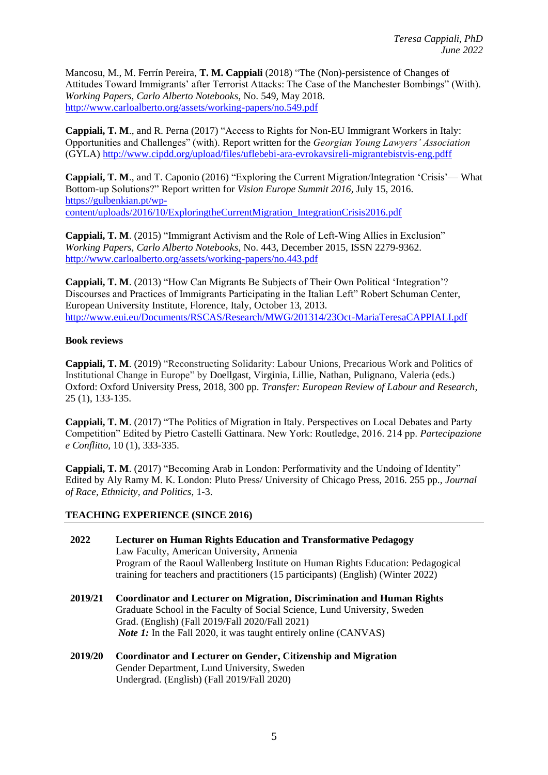Mancosu, M., M. Ferrín Pereira, **T. M. Cappiali** (2018) "The (Non)-persistence of Changes of Attitudes Toward Immigrants' after Terrorist Attacks: The Case of the Manchester Bombings" (With). *Working Papers, Carlo Alberto Notebooks*, No. 549, May 2018. <http://www.carloalberto.org/assets/working-papers/no.549.pdf>

**Cappiali, T. M**., and R. Perna (2017) "Access to Rights for Non-EU Immigrant Workers in Italy: Opportunities and Challenges" (with). Report written for the *Georgian Young Lawyers' Association*  (GYLA)<http://www.cipdd.org/upload/files/uflebebi-ara-evrokavsireli-migrantebistvis-eng.pdff>

**Cappiali, T. M**., and T. Caponio (2016) "Exploring the Current Migration/Integration 'Crisis'— What Bottom-up Solutions?" Report written for *Vision Europe Summit 2016,* July 15, 2016. [https://gulbenkian.pt/wp](https://gulbenkian.pt/wp-content/uploads/2016/10/ExploringtheCurrentMigration_IntegrationCrisis2016.pdf)[content/uploads/2016/10/ExploringtheCurrentMigration\\_IntegrationCrisis2016.pdf](https://gulbenkian.pt/wp-content/uploads/2016/10/ExploringtheCurrentMigration_IntegrationCrisis2016.pdf)

**Cappiali, T. M**. (2015) "Immigrant Activism and the Role of Left-Wing Allies in Exclusion" *Working Papers, Carlo Alberto Notebooks*, No. 443, December 2015, ISSN 2279-9362. <http://www.carloalberto.org/assets/working-papers/no.443.pdf>

**Cappiali, T. M**. (2013) "How Can Migrants Be Subjects of Their Own Political 'Integration'? Discourses and Practices of Immigrants Participating in the Italian Left" Robert Schuman Center, European University Institute, Florence, Italy, October 13, 2013. <http://www.eui.eu/Documents/RSCAS/Research/MWG/201314/23Oct-MariaTeresaCAPPIALI.pdf>

## **Book reviews**

**Cappiali, T. M**. (2019) "Reconstructing Solidarity: Labour Unions, Precarious Work and Politics of Institutional Change in Europe" by Doellgast, Virginia, Lillie, Nathan, Pulignano, Valeria (eds.) Oxford: Oxford University Press, 2018, 300 pp. *Transfer: European Review of Labour and Research*, 25 (1), 133-135.

**Cappiali, T. M**. (2017) "The Politics of Migration in Italy. Perspectives on Local Debates and Party Competition" Edited by Pietro Castelli Gattinara. New York: Routledge, 2016. 214 pp. *Partecipazione e Conflitto,* 10 (1), 333-335.

**Cappiali, T. M**. (2017) "Becoming Arab in London: Performativity and the Undoing of Identity" Edited by Aly Ramy M. K. London: Pluto Press/ University of Chicago Press, 2016. 255 pp., *Journal of Race, Ethnicity, and Politics,* 1-3.

### **TEACHING EXPERIENCE (SINCE 2016)**

- **2022 Lecturer on Human Rights Education and Transformative Pedagogy** Law Faculty, American University, Armenia Program of the Raoul Wallenberg Institute on Human Rights Education: Pedagogical training for teachers and practitioners (15 participants) (English) (Winter 2022)
- **2019/21 Coordinator and Lecturer on Migration, Discrimination and Human Rights** Graduate School in the Faculty of Social Science, Lund University, Sweden Grad. (English) (Fall 2019/Fall 2020/Fall 2021) *Note* 1: In the Fall 2020, it was taught entirely online (CANVAS)
- **2019/20 Coordinator and Lecturer on Gender, Citizenship and Migration** Gender Department, Lund University, Sweden Undergrad. (English) (Fall 2019/Fall 2020)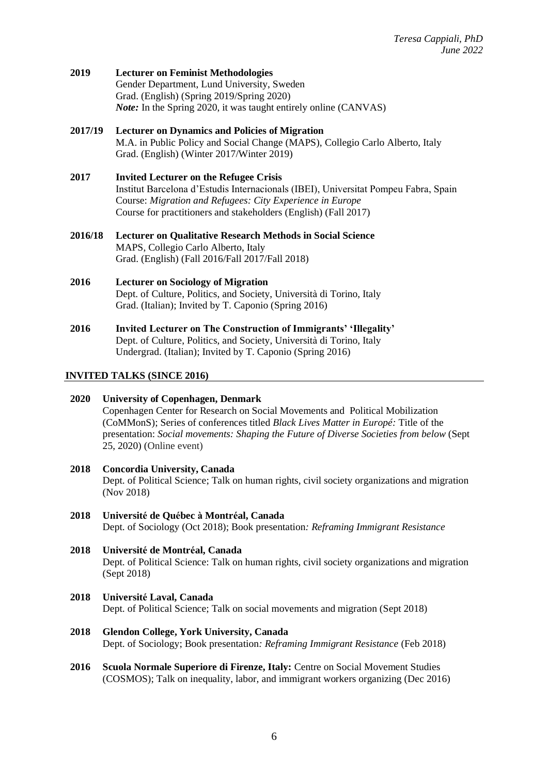**2019 Lecturer on Feminist Methodologies** Gender Department, Lund University, Sweden Grad. (English) (Spring 2019/Spring 2020) *Note:* In the Spring 2020, it was taught entirely online (CANVAS)

## **2017/19 Lecturer on Dynamics and Policies of Migration** M.A. in Public Policy and Social Change (MAPS), Collegio Carlo Alberto, Italy Grad. (English) (Winter 2017/Winter 2019)

## **2017 Invited Lecturer on the Refugee Crisis** Institut Barcelona d'Estudis Internacionals (IBEI), Universitat Pompeu Fabra, Spain Course: *Migration and Refugees: City Experience in Europe* Course for practitioners and stakeholders (English) (Fall 2017)

- **2016/18 Lecturer on Qualitative Research Methods in Social Science** MAPS, Collegio Carlo Alberto, Italy Grad. (English) (Fall 2016/Fall 2017/Fall 2018)
- **2016 Lecturer on Sociology of Migration** Dept. of Culture, Politics, and Society, Università di Torino, Italy Grad. (Italian); Invited by T. Caponio (Spring 2016)
- **2016 Invited Lecturer on The Construction of Immigrants' 'Illegality'** Dept. of Culture, Politics, and Society, Università di Torino, Italy Undergrad. (Italian); Invited by T. Caponio (Spring 2016)

## **INVITED TALKS (SINCE 2016)**

- **2020 University of Copenhagen, Denmark** Copenhagen Center for Research on Social Movements and Political Mobilization (CoMMonS); Series of conferences titled *Black Lives Matter in Europé:* Title of the presentation: *Social movements: Shaping the Future of Diverse Societies from below* (Sept 25, 2020) (Online event)
- **2018 Concordia University, Canada** Dept. of Political Science; Talk on human rights, civil society organizations and migration (Nov 2018)
- **2018 Université de Québec à Montréal, Canada** Dept. of Sociology (Oct 2018); Book presentation*: Reframing Immigrant Resistance*
- **2018 Université de Montréal, Canada** Dept. of Political Science: Talk on human rights, civil society organizations and migration (Sept 2018)
- **2018 Université Laval, Canada** Dept. of Political Science; Talk on social movements and migration (Sept 2018)
- **2018 Glendon College, York University, Canada** Dept. of Sociology; Book presentation*: Reframing Immigrant Resistance* (Feb 2018)
- **2016 Scuola Normale Superiore di Firenze, Italy:** Centre on Social Movement Studies (COSMOS); Talk on inequality, labor, and immigrant workers organizing (Dec 2016)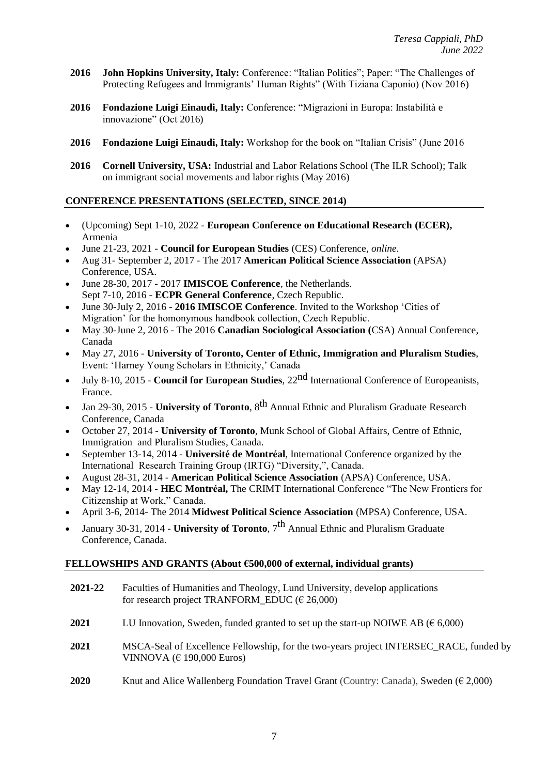- **2016 John Hopkins University, Italy:** Conference: "Italian Politics"; Paper: "The Challenges of Protecting Refugees and Immigrants' Human Rights" (With Tiziana Caponio) (Nov 2016)
- **2016 Fondazione Luigi Einaudi, Italy:** Conference: "Migrazioni in Europa: Instabilità e innovazione" (Oct 2016)
- **2016 Fondazione Luigi Einaudi, Italy:** Workshop for the book on "Italian Crisis" (June 2016
- **2016 Cornell University, USA:** Industrial and Labor Relations School (The ILR School); Talk on immigrant social movements and labor rights (May 2016)

## **CONFERENCE PRESENTATIONS (SELECTED, SINCE 2014)**

- (Upcoming) Sept 1-10, 2022 **European Conference on Educational Research (ECER),**  Armenia
- June 21-23, 2021 **Council for European Studies** (CES) Conference, *online.*
- Aug 31- September 2, 2017 The 2017 **American Political Science Association** (APSA) Conference, USA.
- June 28-30, 2017 2017 **IMISCOE Conference**, the Netherlands. Sept 7-10, 2016 - **ECPR General Conference**, Czech Republic.
- June 30-July 2, 2016 **2016 IMISCOE Conference**. Invited to the Workshop 'Cities of Migration' for the homonymous handbook collection, Czech Republic.
- May 30-June 2, 2016 The 2016 **Canadian Sociological Association (**CSA) Annual Conference, Canada
- May 27, 2016 **University of Toronto, Center of Ethnic, Immigration and Pluralism Studies**, Event: 'Harney Young Scholars in Ethnicity,' Canada
- July 8-10, 2015 **Council for European Studies**, 22nd International Conference of Europeanists, France.
- Jan 29-30, 2015 **University of Toronto**, 8th Annual Ethnic and Pluralism Graduate Research Conference, Canada
- October 27, 2014 **University of Toronto**, Munk School of Global Affairs, Centre of Ethnic, Immigration and Pluralism Studies, Canada.
- September 13-14, 2014 **Université de Montréal**, International Conference organized by the International Research Training Group (IRTG) "Diversity,", Canada.
- August 28-31, 2014 **American Political Science Association** (APSA) Conference, USA.
- May 12-14, 2014 **HEC Montréal,** The CRIMT International Conference "The New Frontiers for Citizenship at Work," Canada.
- April 3-6, 2014- The 2014 **Midwest Political Science Association** (MPSA) Conference, USA.
- January 30-31, 2014 **University of Toronto**, 7th Annual Ethnic and Pluralism Graduate Conference, Canada.

## **FELLOWSHIPS AND GRANTS (About €500,000 of external, individual grants)**

- **2021-22** Faculties of Humanities and Theology, Lund University, develop applications for research project TRANFORM\_EDUC ( $\epsilon$  26,000)
- **2021**  LU Innovation, Sweden, funded granted to set up the start-up NOIWE AB ( $\epsilon$  6,000)
- **2021** MSCA-Seal of Excellence Fellowship, for the two-years project INTERSEC\_RACE, funded by VINNOVA ( $\in$  190,000 Euros)
- **2020** Knut and Alice Wallenberg Foundation Travel Grant (Country: Canada), Sweden ( $\epsilon$  2,000)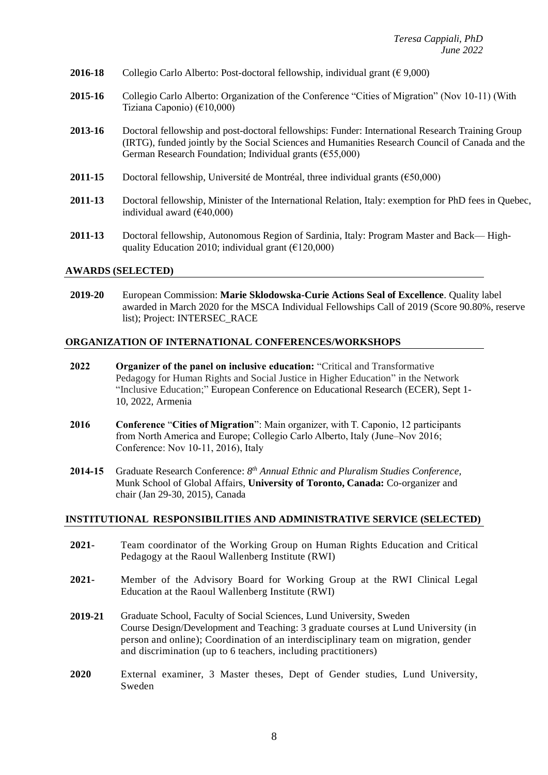- **2016-18** Collegio Carlo Alberto: Post-doctoral fellowship, individual grant ( $\epsilon$  9,000)
- **2015-16** Collegio Carlo Alberto: Organization of the Conference "Cities of Migration" (Nov 10-11) (With Tiziana Caponio) (€10,000)
- **2013-16** Doctoral fellowship and post-doctoral fellowships: Funder: International Research Training Group (IRTG), funded jointly by the Social Sciences and Humanities Research Council of Canada and the German Research Foundation; Individual grants (€55,000)
- **2011-15** Doctoral fellowship, Université de Montréal, three individual grants (€50,000)
- **2011-13** Doctoral fellowship, Minister of the International Relation, Italy: exemption for PhD fees in Quebec, individual award (€40,000)
- **2011-13** Doctoral fellowship, Autonomous Region of Sardinia, Italy: Program Master and Back— Highquality Education 2010; individual grant  $(\text{\textsterling}120,000)$

#### **AWARDS (SELECTED)**

**2019-20** European Commission: **Marie Sklodowska-Curie Actions Seal of Excellence**. Quality label awarded in March 2020 for the MSCA Individual Fellowships Call of 2019 (Score 90.80%, reserve list); Project: INTERSEC\_RACE

#### **ORGANIZATION OF INTERNATIONAL CONFERENCES/WORKSHOPS**

- **2022 Organizer of the panel on inclusive education:** "Critical and Transformative Pedagogy for Human Rights and Social Justice in Higher Education" in the Network "Inclusive Education;" European Conference on Educational Research (ECER), Sept 1- 10, 2022, Armenia
- **2016 Conference** "**Cities of Migration**": Main organizer, with T. Caponio, 12 participants from North America and Europe; Collegio Carlo Alberto, Italy (June–Nov 2016; Conference: Nov 10-11, 2016), Italy
- **2014-15** Graduate Research Conference: *8 th Annual Ethnic and Pluralism Studies Conference,* Munk School of Global Affairs, **University of Toronto, Canada:** Co-organizer and chair (Jan 29-30, 2015), Canada

### **INSTITUTIONAL RESPONSIBILITIES AND ADMINISTRATIVE SERVICE (SELECTED)**

- **2021-** Team coordinator of the Working Group on Human Rights Education and Critical Pedagogy at the Raoul Wallenberg Institute (RWI)
- **2021-** Member of the Advisory Board for Working Group at the RWI Clinical Legal Education at the Raoul Wallenberg Institute (RWI)
- **2019-21** Graduate School, Faculty of Social Sciences, Lund University, Sweden Course Design/Development and Teaching: 3 graduate courses at Lund University (in person and online); Coordination of an interdisciplinary team on migration, gender and discrimination (up to 6 teachers, including practitioners)
- **2020** External examiner, 3 Master theses, Dept of Gender studies, Lund University, Sweden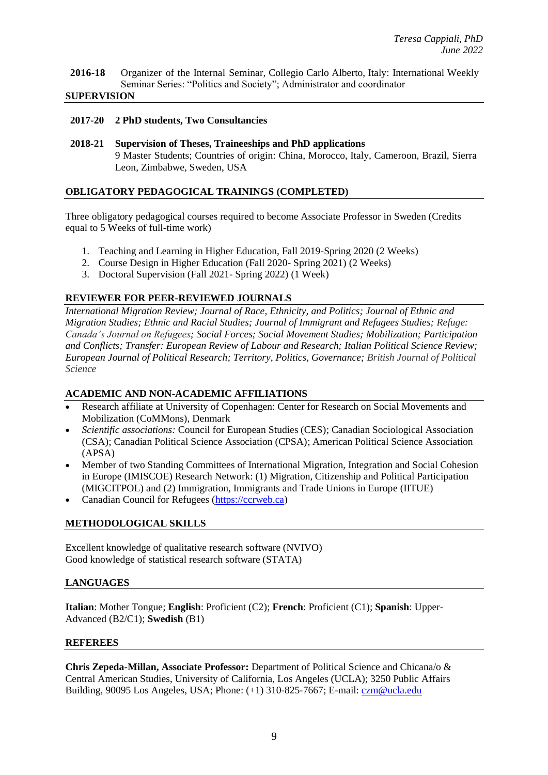**2016-18** Organizer of the Internal Seminar, Collegio Carlo Alberto, Italy: International Weekly Seminar Series: "Politics and Society"; Administrator and coordinator

#### **SUPERVISION**

#### **2017-20 2 PhD students, Two Consultancies**

**2018-21 Supervision of Theses, Traineeships and PhD applications**  9 Master Students; Countries of origin: China, Morocco, Italy, Cameroon, Brazil, Sierra Leon, Zimbabwe, Sweden, USA

### **OBLIGATORY PEDAGOGICAL TRAININGS (COMPLETED)**

Three obligatory pedagogical courses required to become Associate Professor in Sweden (Credits equal to 5 Weeks of full-time work)

- 1. Teaching and Learning in Higher Education, Fall 2019-Spring 2020 (2 Weeks)
- 2. Course Design in Higher Education (Fall 2020- Spring 2021) (2 Weeks)
- 3. Doctoral Supervision (Fall 2021- Spring 2022) (1 Week)

### **REVIEWER FOR PEER-REVIEWED JOURNALS**

*International Migration Review; Journal of Race, Ethnicity, and Politics; Journal of Ethnic and Migration Studies; Ethnic and Racial Studies; Journal of Immigrant and Refugees Studies; Refuge: Canada's Journal on Refugees; Social Forces; Social Movement Studies; Mobilization; Participation and Conflicts; Transfer: European Review of Labour and Research; Italian Political Science Review; European Journal of Political Research; Territory, Politics, Governance; British Journal of Political Science*

### **ACADEMIC AND NON-ACADEMIC AFFILIATIONS**

- Research affiliate at University of Copenhagen: Center for Research on Social Movements and Mobilization (CoMMons), Denmark
- *Scientific associations:* Council for European Studies (CES); Canadian Sociological Association (CSA); Canadian Political Science Association (CPSA); American Political Science Association (APSA)
- Member of two Standing Committees of International Migration, Integration and Social Cohesion in Europe (IMISCOE) Research Network: (1) Migration, Citizenship and Political Participation (MIGCITPOL) and (2) Immigration, Immigrants and Trade Unions in Europe (IITUE)
- Canadian Council for Refugees [\(https://ccrweb.ca\)](https://ccrweb.ca/)

### **METHODOLOGICAL SKILLS**

Excellent knowledge of qualitative research software (NVIVO) Good knowledge of statistical research software (STATA)

### **LANGUAGES**

**Italian**: Mother Tongue; **English**: Proficient (C2); **French**: Proficient (C1); **Spanish**: Upper-Advanced (B2/C1); **Swedish** (B1)

#### **REFEREES**

**Chris Zepeda-Millan, Associate Professor:** Department of Political Science and Chicana/o & Central American Studies, University of California, Los Angeles (UCLA); 3250 Public Affairs Building, 90095 Los Angeles, USA; Phone: (+1) 310-825-7667; E-mail: [czm@ucla.edu](mailto:czm@ucla.edu)